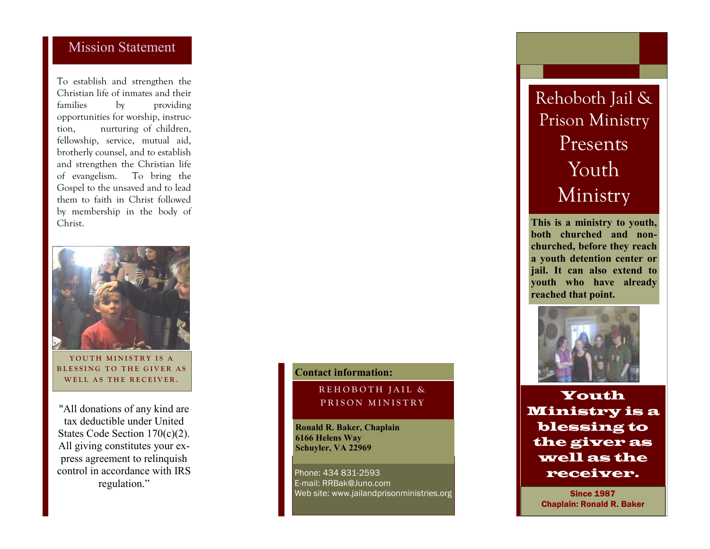### Mission Statement

To establish and strengthen the Christian life of inmates and their families by providing opportunities for worship, instruction, nurturing of children, fellowship, service, mutual aid, brotherly counsel, and to establish and strengthen the Christian life of evangelism. To bring the Gospel to the unsaved and to lead them to faith in Christ followed by membership in the body of Christ.



YOUTH MINISTRY IS A BLESSING TO THE GIVER AS WELL AS THE RECEIVER.

"All donations of any kind are tax deductible under United States Code Section 170(c)(2). All giving constitutes your express agreement to relinquish control in accordance with IRS regulation."

### **Contact information:**

### **R E H O B O T H J A I L &**  PRISON MINISTRY

**Ronald R. Baker, Chaplain 6166 Helens Way Schuyler, VA 22969** 

Phone: 434 831-2593 E-mail: RRBak@Juno.com Web site: www.jailandprisonministries.org

# Rehoboth Jail & Prison Ministry Presents Youth Ministry

**This is a ministry to youth, both churched and nonchurched, before they reach a youth detention center or jail. It can also extend to youth who have already reached that point.** 



Youth Ministry is a blessing to the giver as well as the receiver.

> Since 1987 Chaplain: Ronald R. Baker